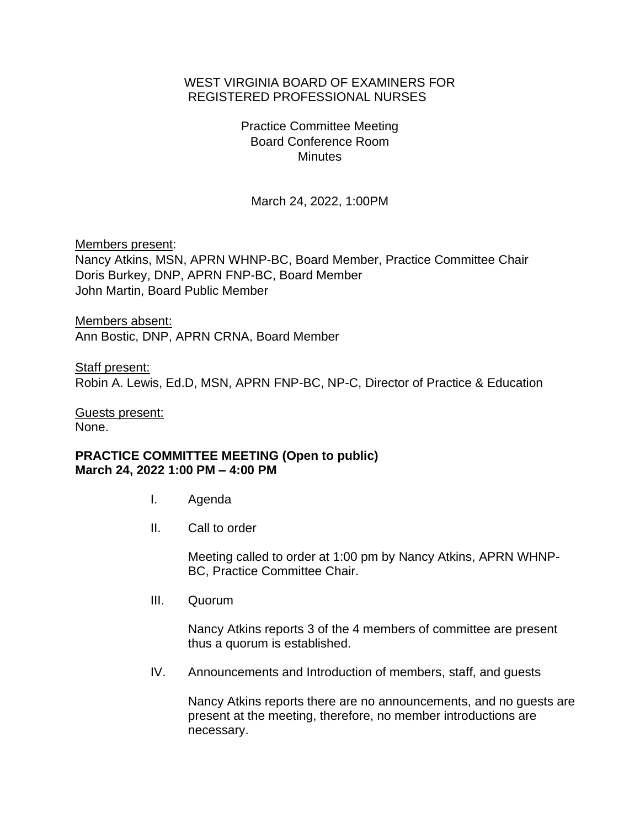## WEST VIRGINIA BOARD OF EXAMINERS FOR REGISTERED PROFESSIONAL NURSES

Practice Committee Meeting Board Conference Room **Minutes** 

March 24, 2022, 1:00PM

Members present:

Nancy Atkins, MSN, APRN WHNP-BC, Board Member, Practice Committee Chair Doris Burkey, DNP, APRN FNP-BC, Board Member John Martin, Board Public Member

Members absent: Ann Bostic, DNP, APRN CRNA, Board Member

Staff present: Robin A. Lewis, Ed.D, MSN, APRN FNP-BC, NP-C, Director of Practice & Education

Guests present: None.

## **PRACTICE COMMITTEE MEETING (Open to public) March 24, 2022 1:00 PM – 4:00 PM**

- I. Agenda
- II. Call to order

Meeting called to order at 1:00 pm by Nancy Atkins, APRN WHNP-BC, Practice Committee Chair.

III. Quorum

Nancy Atkins reports 3 of the 4 members of committee are present thus a quorum is established.

IV. Announcements and Introduction of members, staff, and guests

Nancy Atkins reports there are no announcements, and no guests are present at the meeting, therefore, no member introductions are necessary.